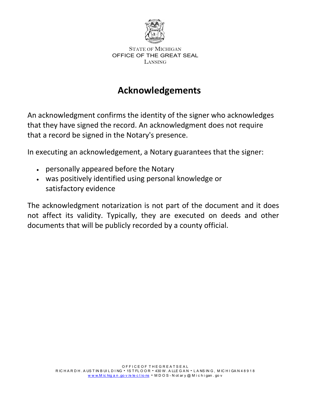

# **Acknowledgements**

An acknowledgment confirms the identity of the signer who acknowledges that they have signed the record. An acknowledgment does not require that a record be signed in the Notary's presence.

In executing an acknowledgement, a Notary guarantees that the signer:

- personally appeared before the Notary
- was positively identified using personal knowledge or satisfactory evidence

The acknowledgment notarization is not part of the document and it does not affect its validity. Typically, they are executed on deeds and other documents that will be publicly recorded by a county official.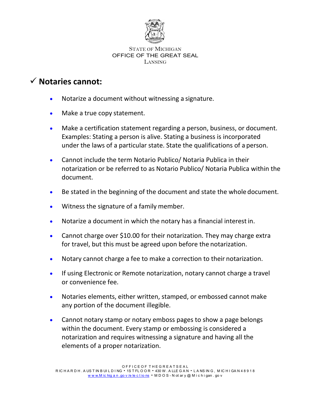

#### STATE OF MICHIGAN OFFICE OF THE GREAT SEAL LANSING

### **Notaries cannot:**

- Notarize a document without witnessing a signature.
- Make a true copy statement.
- Make a certification statement regarding a person, business, or document. Examples: Stating a person is alive. Stating a business is incorporated under the laws of a particular state. State the qualifications of a person.
- Cannot include the term Notario Publico/ Notaria Publica in their notarization or be referred to as Notario Publico/ Notaria Publica within the document.
- Be stated in the beginning of the document and state the whole document.
- Witness the signature of a family member.
- Notarize a document in which the notary has a financial interestin.
- Cannot charge over \$10.00 for their notarization. They may charge extra for travel, but this must be agreed upon before the notarization.
- Notary cannot charge a fee to make a correction to their notarization.
- If using Electronic or Remote notarization, notary cannot charge a travel or convenience fee.
- Notaries elements, either written, stamped, or embossed cannot make any portion of the document illegible.
- Cannot notary stamp or notary emboss pages to show a page belongs within the document. Every stamp or embossing is considered a notarization and requires witnessing a signature and having all the elements of a proper notarization.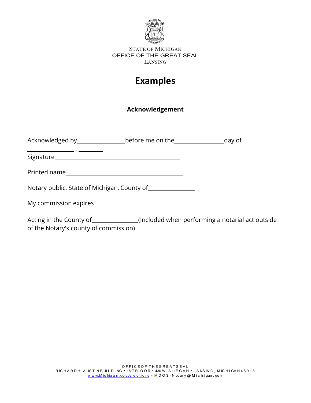

#### STATE OF MICHIGAN OFFICE OF THE GREAT SEAL LANSING

## **Examples**

### **Acknowledgement**

| Acknowledged by __________________before me on the _____________________day of |  |
|--------------------------------------------------------------------------------|--|
|                                                                                |  |
|                                                                                |  |
| Notary public, State of Michigan, County of _______________                    |  |
|                                                                                |  |
|                                                                                |  |

Acting in the County of \_\_\_\_\_\_\_\_\_\_\_\_\_(Included when performing a notarial act outside of the Notary's county of commission)